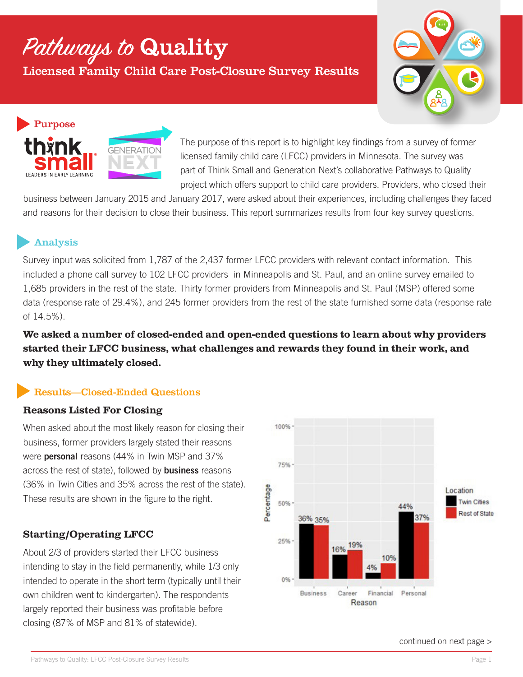# Pathways to Quality

Licensed Family Child Care Post-Closure Survey Results





The purpose of this report is to highlight key findings from a survey of former licensed family child care (LFCC) providers in Minnesota. The survey was part of Think Small and Generation Next's collaborative Pathways to Quality project which offers support to child care providers. Providers, who closed their

business between January 2015 and January 2017, were asked about their experiences, including challenges they faced and reasons for their decision to close their business. This report summarizes results from four key survey questions.

## Analysis

Survey input was solicited from 1,787 of the 2,437 former LFCC providers with relevant contact information. This included a phone call survey to 102 LFCC providers in Minneapolis and St. Paul, and an online survey emailed to 1,685 providers in the rest of the state. Thirty former providers from Minneapolis and St. Paul (MSP) offered some data (response rate of 29.4%), and 245 former providers from the rest of the state furnished some data (response rate of 14.5%).

**We asked a number of closed-ended and open-ended questions to learn about why providers started their LFCC business, what challenges and rewards they found in their work, and why they ultimately closed.**

## Results—Closed-Ended Questions

## **Reasons Listed For Closing**

When asked about the most likely reason for closing their business, former providers largely stated their reasons were personal reasons (44% in Twin MSP and 37% across the rest of state), followed by **business** reasons (36% in Twin Cities and 35% across the rest of the state). These results are shown in the figure to the right.

## **Starting/Operating LFCC**

About 2/3 of providers started their LFCC business intending to stay in the field permanently, while 1/3 only intended to operate in the short term (typically until their own children went to kindergarten). The respondents largely reported their business was profitable before closing (87% of MSP and 81% of statewide).



continued on next page >